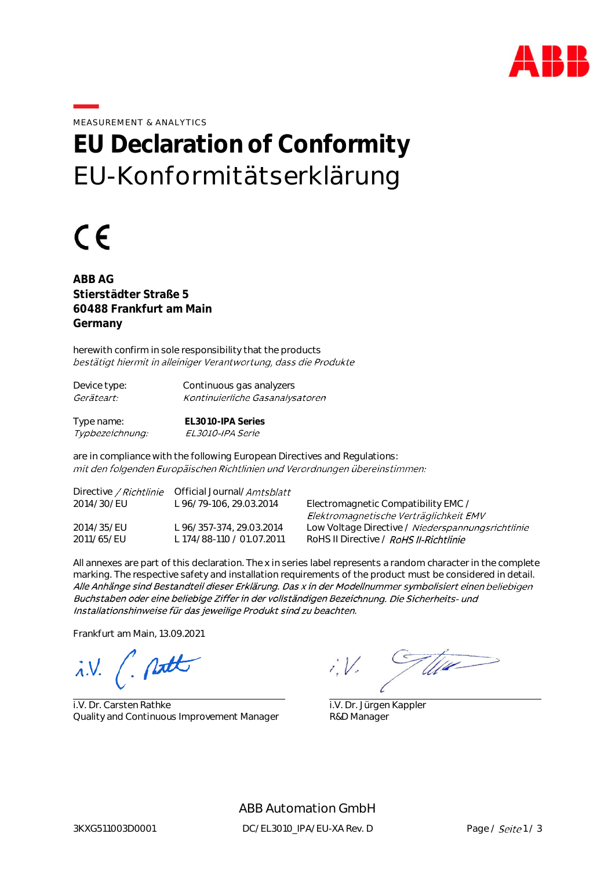

MEASUREMENT & ANALYTICS

## **EU Declaration of Conformity** EU-Konformitätserklärung

## $\epsilon$

**ABB AG Stierstädter Straße 5 60488 Frankfurt am Main Germany**

herewith confirm in sole responsibility that the products bestätigt hiermit in alleiniger Verantwortung, dass die Produkte

| Device type:      | Continuous gas analyzers        |
|-------------------|---------------------------------|
| <i>Geräteart:</i> | Kontinuierliche Gasanalysatoren |
|                   |                                 |

Type name: **EL3010-IPA Series** EL3010-IPA Serie Typbezeichnung:

are in compliance with the following European Directives and Regulations: mit den folgenden Europäischen Richtlinien und Verordnungen übereinstimmen:

| Directive <i>/ Richtlinie</i> | Official Journal/ <i>Amtsblatt</i> |                                                   |
|-------------------------------|------------------------------------|---------------------------------------------------|
| 2014/30/EU                    | L 96/79-106, 29.03.2014            | Electromagnetic Compatibility EMC /               |
|                               |                                    | Elektromagnetische Verträglichkeit EMV            |
| 2014/35/EU                    | L 96/357-374, 29.03.2014           | Low Voltage Directive / Niederspannungsrichtlinie |
| 2011/65/EU                    | L 174/88-110 / 01.07.2011          | RoHS II Directive / RoHS II-Richtlinie            |

All annexes are part of this declaration. The x in series label represents a random character in the complete marking. The respective safety and installation requirements of the product must be considered in detail. Alle Anhänge sind Bestandteil dieser Erklärung. Das x in der Modellnummer symbolisiert einen beliebigen Buchstaben oder eine beliebige Ziffer in der vollständigen Bezeichnung. Die Sicherheits- und Installationshinweise für das jeweilige Produkt sind zu beachten.

Frankfurt am Main, 13.09.2021

 $i.V.$  ( putt

i.V. Dr. Carsten Rathke Quality and Continuous Improvement Manager

TU14  $i:V$ 

 i.V. Dr. Jürgen Kappler R&D Manager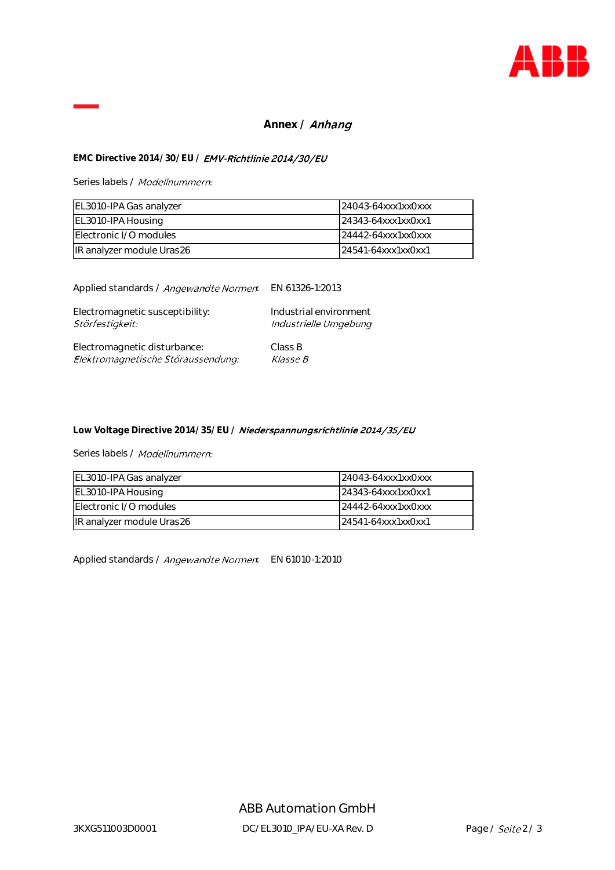

## Annex / **Anhang**

## EMC Directive 2014/30/EU / **EMV-Richtlinie 2014/30/EU**

Series labels / Modellnummern:

| EL3010-IPA Gas analyzer   | 24043-64xxx1xx0xxx |
|---------------------------|--------------------|
| EL3010-IPA Housing        | 24343-64xxx1xx0xx1 |
| Electronic I/O modules    | 24442-64xxx1xx0xxx |
| IR analyzer module Uras26 | 24541-64xxx1xx0xx1 |

Applied standards / Angewandte Normen EN 61326-1:2013

| Electromagnetic susceptibility:    | Industrial environment |
|------------------------------------|------------------------|
| Störfestigkeit:                    | Industrielle Umgebung  |
| Electromagnetic disturbance:       | Class B                |
| Elektromagnetische Störaussendung: | <i><b>Klasse B</b></i> |

Low Voltage Directive 2014/35/EU / Niederspannungsrichtlinie 2014/35/EU

Series labels / Modellnummern:

| EL3010-IPA Gas analyzer   | $124043-64$ xxx1xx0xxx |
|---------------------------|------------------------|
| EL3010-IPA Housing        | 24343-64xxx1xx0xx1     |
| Electronic I/O modules    | 24442-64xxx1xx0xxx     |
| IR analyzer module Uras26 | 24541-64xxx1xx0xx1     |

Applied standards / Angewandte Normen EN 61010-1:2010